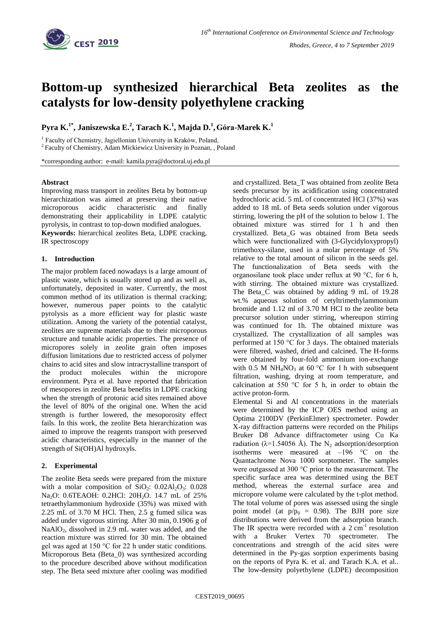

# **Bottom-up synthesized hierarchical Beta zeolites as the catalysts for low-density polyethylene cracking**

**Pyra K.1\*, Janiszewska E.<sup>2</sup> , Tarach K.<sup>1</sup> , Majda D.<sup>1</sup> ,Góra-Marek K.<sup>1</sup>**

<sup>1</sup> Faculty of Chemistry, Jagiellonian University in Kraków, Poland,

<sup>2</sup> Faculty of Chemistry, Adam Mickiewicz University in Poznan, , Poland

\*corresponding author: e-mail: kamila.pyra@doctoral.uj.edu.pl

#### **Abstract**

Improving mass transport in zeolites Beta by bottom-up hierarchization was aimed at preserving their native microporous acidic characteristic and finally demonstrating their applicability in LDPE catalytic pyrolysis, in contrast to top-down modified analogues.

**Keywords:** hierarchical zeolites Beta, LDPE cracking, IR spectroscopy

## **1. Introduction**

The major problem faced nowadays is a large amount of plastic waste, which is usually stored up and as well as, unfortunately, deposited in water. Currently, the most common method of its utilization is thermal cracking; however, numerous paper points to the catalytic pyrolysis as a more efficient way for plastic waste utilization. Among the variety of the potential catalyst, zeolites are supreme materials due to their microporous structure and tunable acidic properties. The presence of micropores solely in zeolite grain often imposes diffusion limitations due to restricted access of polymer chains to acid sites and slow intracrystalline transport of the product molecules within the micropore environment. Pyra et al. have reported that fabrication of mesopores in zeolite Beta benefits in LDPE cracking when the strength of protonic acid sites remained above the level of 80% of the original one. When the acid strength is further lowered, the mesoporosity effect fails. In this work, the zeolite Beta hierarchization was aimed to improve the reagents transport with preserved acidic characteristics, especially in the manner of the strength of Si(OH)Al hydroxyls.

## **2. Experimental**

The zeolite Beta seeds were prepared from the mixture with a molar composition of  $SiO_2$ :  $0.02Al_2O_3$ :  $0.028$ Na<sub>2</sub>O: 0.6TEAOH: 0.2HCl: 20H<sub>2</sub>O. 14.7 mL of 25% tetraethylammonium hydroxide (35%) was mixed with 2.25 mL of 3.70 M HCl. Then, 2.5 g fumed silica was added under vigorous stirring. After 30 min, 0.1906 g of NaAlO<sub>2</sub>, dissolved in 2.9 mL water was added, and the reaction mixture was stirred for 30 min. The obtained gel was aged at 150 °C for 22 h under static conditions. Microporous Beta (Beta\_0) was synthesized according to the procedure described above without modification step. The Beta seed mixture after cooling was modified and crystallized. Beta\_T was obtained from zeolite Beta seeds precursor by its acidification using concentrated hydrochloric acid. 5 mL of concentrated HCl (37%) was added to 18 mL of Beta seeds solution under vigorous stirring, lowering the pH of the solution to below 1. The obtained mixture was stirred for 1 h and then crystallized. Beta\_G was obtained from Beta seeds which were functionalized with (3-Glycidyloxypropyl) trimethoxy-silane, used in a molar percentage of 5% relative to the total amount of silicon in the seeds gel. The functionalization of Beta seeds with the organosilane took place under reflux at 90 °C, for 6 h, with stirring. The obtained mixture was crystallized. The Beta\_C was obtained by adding 9 mL of 19.28 wt.% aqueous solution of cetyltrimethylammonium bromide and 1.12 ml of 3.70 M HCl to the zeolite beta precursor solution under stirring, whereupon stirring was continued for 1h. The obtained mixture was crystallized. The crystallization of all samples was performed at 150 °C for 3 days. The obtained materials were filtered, washed, dried and calcined. The H-forms were obtained by four-fold ammonium ion-exchange with 0.5 M NH<sub>4</sub>NO<sub>3</sub> at 60 °C for 1 h with subsequent filtration, washing, drying at room temperature, and calcination at 550 °C for 5 h, in order to obtain the active proton-form.

Elemental Si and Al concentrations in the materials were determined by the ICP OES method using an Optima 2100DV (PerkinElmer) spectrometer. Powder X-ray diffraction patterns were recorded on the Philips Bruker D8 Advance diffractometer using Cu Ka radiation ( $\lambda$ =1.54056 Å). The N<sub>2</sub> adsorption/desorption isotherms were measured at  $-196$  °C on the Quantachrome Nova 1000 sorptometer. The samples were outgassed at 300 °C prior to the measurement. The specific surface area was determined using the BET method, whereas the external surface area and micropore volume were calculated by the t-plot method. The total volume of pores was assessed using the single point model (at  $p/p_0 = 0.98$ ). The BJH pore size distributions were derived from the adsorption branch. The IR spectra were recorded with a  $2 \text{ cm}^{-1}$  resolution with a Bruker Vertex 70 spectrometer. The concentrations and strength of the acid sites were determined in the Py-gas sorption experiments basing on the reports of Pyra K. et al. and Tarach K.A. et al.. The low-density polyethylene (LDPE) decomposition